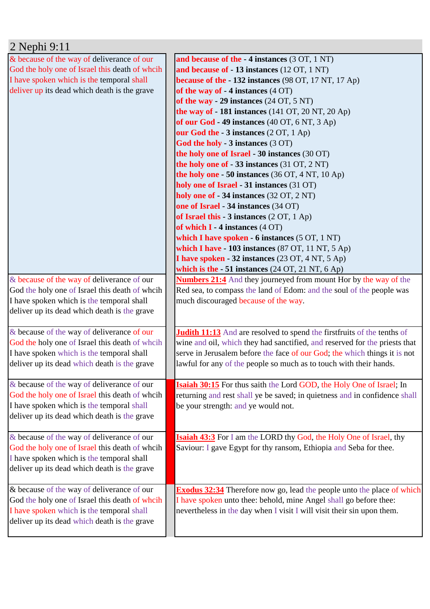| 2 Nephi 9:11                                   |                                                                                 |
|------------------------------------------------|---------------------------------------------------------------------------------|
| & because of the way of deliverance of our     | and because of the - 4 instances (3 OT, 1 NT)                                   |
| God the holy one of Israel this death of wheih | and because of - 13 instances (12 OT, 1 NT)                                     |
| I have spoken which is the temporal shall      | because of the $-132$ instances (98 OT, 17 NT, 17 Ap)                           |
| deliver up its dead which death is the grave   | of the way of $-4$ instances $(4 \text{ OT})$                                   |
|                                                | of the way - 29 instances $(24 \text{ OT}, 5 \text{ NT})$                       |
|                                                | the way of $-181$ instances (141 OT, 20 NT, 20 Ap)                              |
|                                                | of our God $-49$ instances (40 OT, 6 NT, 3 Ap)                                  |
|                                                | our God the - 3 instances (2 OT, 1 Ap)                                          |
|                                                | God the holy - 3 instances (3 OT)                                               |
|                                                | the holy one of Israel - 30 instances (30 OT)                                   |
|                                                | the holy one of $-33$ instances (31 OT, 2 NT)                                   |
|                                                | the holy one $-50$ instances (36 OT, 4 NT, 10 Ap)                               |
|                                                | holy one of Israel - 31 instances (31 OT)                                       |
|                                                | holy one of - 34 instances (32 OT, 2 NT)                                        |
|                                                | one of Israel - 34 instances (34 OT)                                            |
|                                                | of Israel this - $3$ instances $(2 OT, 1 Ap)$                                   |
|                                                | of which $I - 4$ instances $(4 \text{ OT})$                                     |
|                                                | which I have spoken - 6 instances (5 OT, 1 NT)                                  |
|                                                | which I have - 103 instances (87 OT, 11 NT, 5 Ap)                               |
|                                                | I have spoken - 32 instances (23 OT, 4 NT, 5 Ap)                                |
|                                                | which is the $-51$ instances (24 OT, 21 NT, 6 Ap)                               |
| & because of the way of deliverance of our     | <b>Numbers 21:4</b> And they journeyed from mount Hor by the way of the         |
| God the holy one of Israel this death of wheih | Red sea, to compass the land of Edom: and the soul of the people was            |
| I have spoken which is the temporal shall      | much discouraged because of the way.                                            |
| deliver up its dead which death is the grave   |                                                                                 |
|                                                |                                                                                 |
| & because of the way of deliverance of our     | <b>Judith 11:13</b> And are resolved to spend the first fruits of the tenths of |
| God the holy one of Israel this death of wheih | wine and oil, which they had sanctified, and reserved for the priests that      |
| I have spoken which is the temporal shall      | serve in Jerusalem before the face of our God; the which things it is not       |
| deliver up its dead which death is the grave   | lawful for any of the people so much as to touch with their hands.              |
|                                                |                                                                                 |
| & because of the way of deliverance of our     | <b>Isaiah 30:15</b> For thus saith the Lord GOD, the Holy One of Israel; In     |
| God the holy one of Israel this death of whoih | returning and rest shall ye be saved; in quietness and in confidence shall      |
| I have spoken which is the temporal shall      | be your strength: and ye would not.                                             |
| deliver up its dead which death is the grave   |                                                                                 |
|                                                |                                                                                 |
| & because of the way of deliverance of our     | <b>Isaiah 43:3</b> For I am the LORD thy God, the Holy One of Israel, thy       |
| God the holy one of Israel this death of whoih | Saviour: I gave Egypt for thy ransom, Ethiopia and Seba for thee.               |
| I have spoken which is the temporal shall      |                                                                                 |
| deliver up its dead which death is the grave   |                                                                                 |
|                                                |                                                                                 |
| & because of the way of deliverance of our     | <b>Exodus 32:34</b> Therefore now go, lead the people unto the place of which   |
| God the holy one of Israel this death of wheih | I have spoken unto thee: behold, mine Angel shall go before thee:               |
| I have spoken which is the temporal shall      | nevertheless in the day when I visit I will visit their sin upon them.          |
| deliver up its dead which death is the grave   |                                                                                 |
|                                                |                                                                                 |